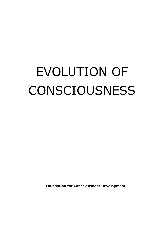# EVOLUTION OF CONSCIOUSNESS

**Foundation for Consciousness Development**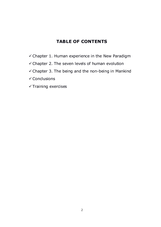# **TABLE OF CONTENTS**

- $\checkmark$  Chapter 1. Human experience in the New Paradigm
- $\checkmark$  Chapter 2. The seven levels of human evolution
- $\checkmark$  Chapter 3. The being and the non-being in Mankind
- $\checkmark$  Conclusions
- $\checkmark$  Training exercises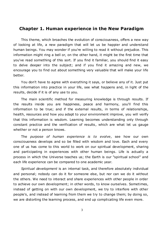## **Chapter 1. Human experience in the New Paradigm**

This theme, which broaches the evolution of consciousness, offers a new way of looking at life, a new paradigm that will let us be happier and understand human beings. You may wonder if you're willing to read it without prejudice. This information might ring a bell or, on the other hand, it might be the first time that you've read something of this sort. If you find it familiar, you should find it easy to delve deeper into the subject; and if you find it amazing and new, we encourage you to find out about something very valuable that will make your life better.

You don't have to agree with everything it says, or believe any of it. Just put this information into practice in your life, see what happens and, in light of the results, decide if it is of any use to you.

The main scientific method for measuring knowledge is through results. If the results inside you are happiness, peace and harmony, you'll find this information to be true; and if the external results, in terms of relationships, health, resources and how you adapt to your environment improve, you will verify that this information is wisdom. Learning becomes understanding only through constant practice and the verification of results, which are what let us gauge whether or not a person knows.

The *purpose of human experience is to evolve*, see how our own consciousness develops and so be filled with wisdom and love. Each and every one of us has come to this world to work on our spiritual development, sharing and participating in experiences with other human beings. Life is actually a process in which the Universe teaches us; the Earth is our "spiritual school" and each life experience can be compared to one academic year.

*Spiritual development* is an internal task, and therefore absolutely individual and personal; nobody can do it for someone else, but nor can we do it without the others. We need to interact and share experiences with other people in order to achieve our own development; in other words, to know ourselves. Sometimes, instead of getting on with our own development, we try to interfere with other people's, and instead of learning from them we try to change them; by doing so, we are distorting the learning process, and end up complicating life even more.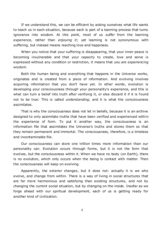If we understand this, we can be efficient by asking ourselves what life wants to teach us in each situation, because each is part of a learning process that turns ignorance into wisdom. At this point, most of us *suffer* from the learning experience, rather than *enjoying it*; yet learning is not synonymous with suffering, but instead means reaching love and happiness.

When you notice that your suffering is disappearing, that your inner peace is becoming invulnerable and that your capacity to create, love and serve is expressed without any condition or restriction, it means that *you are experiencing wisdom*.

Both the human being and everything that happens in the Universe works, originates and is created from a piece of information. And evolving involves acquiring information that you don't have yet. In other words, evolution is developing your consciousness through your personality's experience, and this is what can turn a belief into truth after verifying it, or else discard it if it is found not to be true: This is called *understanding*, and it is what the consciousness assimilates.

That is why the consciousness does not let in beliefs, because it is an archive designed to only assimilate truths that have been verified and experienced within the experience of form. To put it another way, the consciousness is an information file that assimilates the Universe's truths and stores them so that they remain permanent and immortal. The consciousness, therefore, is a timeless and incontaminable file.

Our consciousness can store one trillion times more information than our personality can. Evolution occurs through forms, but it is not the form that evolves, but the consciousness within it. When we have no body (on Earth), there is no evolution, which only occurs when the being is contact with matter. Then the consciousness will keep on evolving.

Apparently, the exterior changes, but it does not: actually it is we who evolve, and change from within. There is a way of living in social structures that are far more harmonious and satisfying than existing structures, and not by changing the current social situation, but by changing on the inside. Insofar as we forge ahead with our spiritual development, each of us is getting ready for another kind of civilization.

4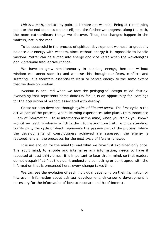*Life is a path*, and at any point in it there are walkers. Being at the starting point or the end depends on oneself, and the further we progress along the path, the more extraordinary things we discover. Thus, the changes happen in the walkers, not in the road.

To be successful in the process of spiritual development we need to gradually balance our energy with wisdom, since without energy it is impossible to handle wisdom. Matter can be turned into energy and vice versa when the wavelengths and vibrational frequencies change.

We have to grow simultaneously in handling energy, because without wisdom we cannot store it; and we lose this through our fears, conflicts and suffering. It is therefore essential to learn to handle energy to the same extent that we develop wisdom.

*Wisdom* is acquired when we face the pedagogical design called *destiny*. Everything that represents some difficulty for us is an opportunity for learning; for the acquisition of wisdom associated with destiny.

Consciousness develops through *cycles of life and death*. The first cycle is the active part of the process, where learning experiences take place, from innocence —lack of information— false information in the mind, when you "think you know" —until we reach wisdom— which is the information from truth or understanding. For its part, the cycle of death represents the passive part of the process, where the developments of consciousness achieved are assessed, the energy is restored, and all the processes for the next cycle of life are renewed.

It is not enough for the mind to read what we have just explained only once. The adult mind, to encode and internalize any information, needs to have it repeated at least thirty times. It is important to bear this in mind, so that readers do not despair if at first they don't understand something or don't agree with the information that is presented here; every change takes time.

We can see the evolution of each individual depending on their inclination or interest in information about spiritual development, since some development is necessary for the information of love to resonate and be of interest.

5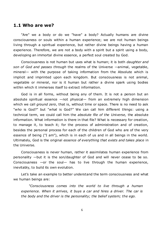## **1.1 Who are we?**

"Are" we a body or do we "have" a body? Actually humans are divine consciousness or souls within a human experience; we are not human beings living through a spiritual experience, but rather divine beings having a human experience. Therefore, we are not a body with a spirit but a spirit using a body, developing an immortal divine essence, a perfect soul created by God.

Consciousness is not human but uses what is human; it is both *daughter and son of God and passes through* the realms of the Universe —animal, vegetable, mineral— with the purpose of taking information from the Absolute which is implicit and imprinted upon each kingdom. But consciousness is not animal, vegetable or mineral, nor is it human but rather a divine spark using bodies within which it immerses itself to extract information.

God is in all forms, without being any of them. It is not a person but an absolute spiritual essence —not physical— from an extremely high dimension which we call *ground zero*, that is, without time or space. There is no need to ask "*who* is God?" but "*what* is God?" We can call him different things: using a technical term, we could call him the *absolute file of the Universe,* the absolute information. What information is there in that file? What is necessary for creation, to manage it, to teach it; for the process of administration and of creation, besides the personal process for each of the children of God who are of the very essence of being ("I am"), which is in each of us and in all beings in the world. Ultimately, God is the original *essence of everything that exists and takes place* in the Universe.

Consciousness is never human, rather it assimilates human experience from personality —but it is the son/daughter of God and will never cease to be so. Consciousness —or the soul— has to live through the human experience, inevitably, to build its own evolution.

Let's take an example to better understand the term consciousness and what we human beings are:

*"Consciousness comes into the world to live through a human experience. When it arrives, it buys a car and hires a driver. The car is the body and the driver is the personality; the belief system; the ego.*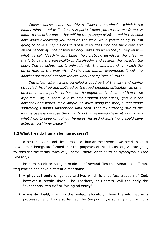*Consciousness says to the driver: "Take this notebook —which is the empty mind— and walk along this path; I need you to take me from this point to this other one —that will be the passage of life— and in this book note down everything you learn on the way. While you're doing so, I'm going to take a nap." Consciousness then goes into the back seat and sleeps peacefully. The passenger only wakes up when the journey ends what we call "death"— and takes the notebook, dismisses the driver that's to say, the personality is dissolved— and returns the vehicle: the*  body. The consciousness is only left with the understanding, which the *driver learned the way with. In the next human experience, it will hire another driver and another vehicle, until it completes all truths.*

*The driver, after having travelled a good part of the way and having struggled, insulted and suffered as the road presents difficulties, as other drivers cross his path —or because the engine broke down and had to be repaired— or, in short, due to any problem that arises, gets out the notebook and writes, for example: "X miles along the road, I understood something I hadn't understood until then: that my suffering due to the road is useless because the only thing that resolved these situations was what I did to keep on going; therefore, instead of suffering, I could have acted in total inner peace."*

## **1.2 What files do human beings possess?**

To better understand the purpose of human experience, we need to know how human beings are formed. For the purposes of this discussion, we are going to consider the terms "archive", "body", "field" or "file" to be synonymous (see Glossary).

The human Self or Being is made up of several files that vibrate at different frequencies and have different dimensions:

- **1.** A **physical body** or genetic archive, which is a perfect creation of God, however it breaks down. The Teachers, or Masters, call the body the "experiential vehide" or "biological entity".
- **2.** A **mental field,** which is the perfect laboratory where the information is processed, and it is also termed the *temporary personality archive*. It is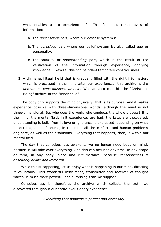what enables us to experience life. This field has three levels of information:

- a. The *unconscious* part, where our defense system is.
- b. The *conscious* part where our belief system is, also called ego or personality.
- c. The *spiritual* or *understanding* part, which is the result of the verification of the information through experience, applying knowledge. Likewise, this can be called temporary consciousness.
- **3.** A divine **spiritual field** that is gradually filled with the right information, which is processed in the mind after our experiences; this archive is the *permanent consciousness archive*. We can also call this the "Christ-like Being" archive or the "inner child".

The body only supports the mind physically: that is its purpose. And it makes experience possible with three-dimensional worlds, although the mind is not three-dimensional. But who does the work, who conducts the whole process? It is the mind, the mental field; in it experiences are had; the Laws are discovered; understanding is built, from it love or ignorance is expressed, depending on what it contains; and, of course, in the mind all the conflicts and human problems originate, as well as their solutions. Everything that happens, then, is within our mental field.

The day that consciousness awakens, we no longer need body or mind, because it will take over everything. And this can occur at any time, in any shape or form, in any body, place and circumstance, because *consciousness is absolutely divine and immortal*.

While this is happening, let us enjoy what is happening in our mind, directing it voluntarily. This wonderful instrument, transmitter and receiver of thought waves, is much more powerful and surprising than we suppose.

Consciousness is, therefore, the archive which collects the truth we discovered throughout our entire evolutionary experience.

*Everything that happens is perfect and necessary.*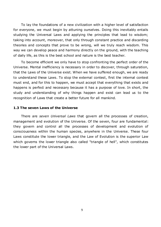To lay the foundations of a new civilization with a higher level of satisfaction for everyone, we must begin by attuning ourselves. Doing this inevitably entails studying the Universal Laws and applying the principles that lead to wisdom; taking into account, moreover, that only through constant practice and discarding theories and concepts that prove to be wrong, will we truly reach wisdom. This way we can develop peace and harmony directly on the ground, with the teaching of daily life, as this is the best school and nature is the best teacher.

To become efficient we only have to stop confronting the perfect order of the Universe. Mental inefficiency is necessary in order to discover, through saturation, that the Laws of the Universe exist. When we have suffered enough, we are ready to understand these Laws. To stop the external contest, first the internal contest must end, and for this to happen, we must accept that everything that exists and happens is perfect and necessary because it has a purpose of love. In short, the study and understanding of why things happen and exist can lead us to the recognition of Laws that create a better future for all mankind.

#### **1.3 The seven Laws of the Universe**

There are *seven Universal Laws* that govern all the processes of creation, management and evolution of the Universe. Of the seven, four are fundamental: they govern and control all the processes of development and evolution of consciousness within the human species, anywhere in the Universe. These four Laws constitute the lower triangle, and the Law of Evolution is the superior Law which governs the lower triangle also called "triangle of hell", which constitutes the lower part of the Universal Laws.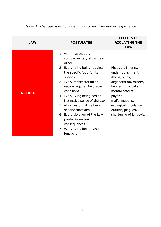| <b>LAW</b>    | <b>POSTULATES</b>                                                                                                                                                                                                                                                                                                                                                                                                                                              | <b>EFFECTS OF</b><br><b>VIOLATING THE</b><br><b>LAW</b>                                                                                                                                                                                           |
|---------------|----------------------------------------------------------------------------------------------------------------------------------------------------------------------------------------------------------------------------------------------------------------------------------------------------------------------------------------------------------------------------------------------------------------------------------------------------------------|---------------------------------------------------------------------------------------------------------------------------------------------------------------------------------------------------------------------------------------------------|
| <b>NATURE</b> | 1. All things that are<br>complementary attract each<br>other.<br>2. Every living being requires<br>the specific food for its<br>species.<br>3. Every manifestation of<br>nature requires favorable<br>conditions.<br>4. Every living being has an<br>instinctive sense of the Law.<br>5. All cycles of nature have<br>specific functions.<br>6. Every violation of the Law<br>produces serious<br>consequences.<br>7. Every living being has its<br>function. | Physical ailments:<br>undernourishment,<br>illness, vices,<br>degeneration, misery,<br>hunger, physical and<br>mental defects,<br>physical<br>malformations,<br>ecological imbalance,<br>erosion, plagues,<br>shortening of longevity<br>$\cdots$ |

# *Table 1. The four specific Laws which govern the human experience*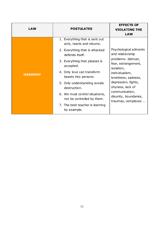|                |                                                              | <b>EFFECTS OF</b>                                             |  |
|----------------|--------------------------------------------------------------|---------------------------------------------------------------|--|
| <b>LAW</b>     | <b>POSTULATES</b>                                            | <b>VIOLATING THE</b>                                          |  |
|                |                                                              | <b>LAW</b>                                                    |  |
|                | 1. Everything that is sent out<br>acts, reacts and returns.  |                                                               |  |
|                | 2. Everything that is attacked<br>defends itself.            | Psychological ailments<br>and relationship                    |  |
|                | 3. Everything that pleases is<br>accepted.                   | problems: distrust,<br>fear, estrangement,<br>isolation,      |  |
| <b>HARMONY</b> | 4. Only love can transform<br>beasts into persons.           | individualism,<br>loneliness, sadness,                        |  |
|                | 5. Only understanding avoids<br>destruction.                 | depression, fights,<br>shyness, lack of                       |  |
|                | 6. We must control situations,<br>not be controlled by them. | communication,<br>disunity, boundaries,<br>traumas, complexes |  |
|                | 7. The best teacher is learning<br>by example.               |                                                               |  |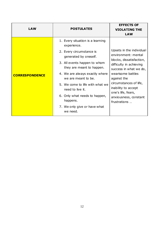|                       |                                                                                                                                                                                                                                                                                                                                                                            | <b>EFFECTS OF</b>                                                                                                                                                                                                                                                                    |  |
|-----------------------|----------------------------------------------------------------------------------------------------------------------------------------------------------------------------------------------------------------------------------------------------------------------------------------------------------------------------------------------------------------------------|--------------------------------------------------------------------------------------------------------------------------------------------------------------------------------------------------------------------------------------------------------------------------------------|--|
| <b>LAW</b>            | <b>POSTULATES</b>                                                                                                                                                                                                                                                                                                                                                          | <b>VIOLATING THE</b>                                                                                                                                                                                                                                                                 |  |
|                       |                                                                                                                                                                                                                                                                                                                                                                            | <b>LAW</b>                                                                                                                                                                                                                                                                           |  |
| <b>CORRESPONDENCE</b> | 1. Every situation is a learning<br>experience.<br>2. Every circumstance is<br>generated by oneself.<br>3. All events happen to whom<br>they are meant to happen.<br>4. We are always exactly where<br>we are meant to be.<br>5. We come to life with what we<br>need to live it.<br>6. Only what needs to happen,<br>happens.<br>7. We only give or have what<br>we need. | Upsets in the individual<br>environment: mental<br>blocks, dissatisfaction,<br>difficulty in achieving<br>success in what we do,<br>wearisome battles<br>against the<br>circumstances of life,<br>inability to accept<br>one's life, fears,<br>anxiousness, constant<br>frustrations |  |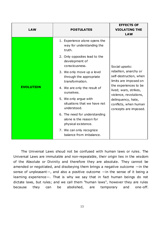| <b>LAW</b>       | <b>POSTULATES</b>                                                               | <b>EFFECTS OF</b><br><b>VIOLATING THE</b><br><b>LAW</b>                  |
|------------------|---------------------------------------------------------------------------------|--------------------------------------------------------------------------|
|                  | 1. Experience alone opens the<br>way for understanding the<br>truth.            |                                                                          |
|                  | 2. Only opposites lead to the<br>development of<br>consciousness.               | Social upsets:                                                           |
|                  | 3. We only move up a level<br>through the appropriate<br>transformation.        | rebellion, anarchy or<br>self-destruction, when<br>limits are imposed on |
| <b>EVOLUTION</b> | 4. We are only the result of<br>ourselves.                                      | the experiences to be<br>lived; wars, strikes,<br>violence, revolutions, |
|                  | 5. We only argue with<br>situations that we have not<br>understood.             | delinquency, hate,<br>conflicts, when human<br>concepts are imposed.     |
|                  | 6. The need for understanding<br>alone is the reason for<br>physical existence. |                                                                          |
|                  | 7. We can only recognize<br>balance from imbalance.                             |                                                                          |

The Universal Laws shoud not be confused with human laws or rules. The Universal Laws are immutable and non-repealable, their origin lies in the wisdom of the Absolute or Divinity and therefore they are absolute. They cannot be amended or negotiated, and disobeying them brings a negative outcome —in the sense of unpleasant—, and also a positive outcome —in the sense of it being a learning experience-. That is why we say that in fact human beings do not dictate laws, but rules; and we call them "human laws", however they are rules because they can be abolished, are temporary and one-off.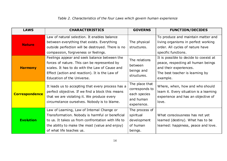# *Table 2. Characteristics of the four Laws which govern human experience*

| <b>LAWS</b>           | <b>CHARACTERISTICS</b>                                                                                                                                                                                                            | <b>GOVERNS</b>                                                               | <b>FUNCTION/DECIDES</b>                                                                                                                               |
|-----------------------|-----------------------------------------------------------------------------------------------------------------------------------------------------------------------------------------------------------------------------------|------------------------------------------------------------------------------|-------------------------------------------------------------------------------------------------------------------------------------------------------|
| <b>Nature</b>         | Law of natural selection. It enables balance<br>between everything that exists. Everything<br>outside perfection will be destroyed. There is no<br>compassion, forgiveness or feelings.                                           | The physical<br>structures.                                                  | To produce and maintain matter and<br>living organisms in perfect working<br>order. All cycles of nature have<br>specific functions.                  |
| <b>Harmony</b>        | Feelings appear and seek balance between the<br>forces of nature. This can be represented by<br>scales. It has to do with the Law of Cause and<br>Effect (action and reaction). It is the Law of<br>Education of the Universe.    | The relations<br>between<br>beings and<br>structures.                        | It is possible to decide to coexist at<br>peace, respecting all human beings<br>and their experiences.<br>The best teacher is learning by<br>example. |
| <b>Correspondence</b> | It leads us to accepting that every process has a<br>perfect objective. If we find a block this means<br>that we are violating it. We produce every<br>circumstance ourselves. Nobody is to blame.                                | The place that<br>corresponds to<br>each species<br>and human<br>experience. | Where, when, how and who should<br>learn it. Every situation is a learning<br>experience and has an objective of<br>love.                             |
| <b>Evolution</b>      | Law of Learning, Law of Internal Change or<br>Transformation. Nobody is harmful or beneficial<br>to us. It takes us from confrontation with life to<br>the ability to make the most (value and enjoy)<br>of what life teaches us. | The process of<br>spiritual<br>development<br>of human<br>beings.            | What consciousness has not yet<br>learned (destiny). What has to be<br>learned: happiness, peace and love.                                            |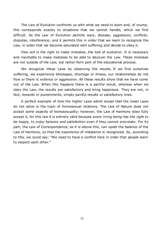The Law of Evolution confronts us with what we need to learn and, of course, this corresponds exactly to situations that we cannot handle, which we find difficult. So the Law of Evolution permits wars, disease, aggression, conflicts, disputes, interference; and it permits this in order that we learn to recognize the Law, in order that we become saturated with suffering and decide to obey it.

*Free will* is the right to make mistakes, the tool of evolution. It is necessary and inevitable to make mistakes to be able to discover the Law. These mistakes are not outside of the Law, but rather form part of the educational process.

We recognize these Laws by observing the results. If we find ourselves suffering, we experience blockages, shortage or illness, our relationships do not flow or there is violence or aggression. All these results show that we have come out of the Law. When this happens there is a painful result, whereas when we obey the Law, the results are satisfactory and bring happiness. They are not, in fact, rewards or punishments, simply painful results or satisfactory ones.

A perfect example of how the higher Laws admit issues that the lower Laws do not allow is the topic of homosexual relations. The Law of Nature does not accept some aspects of homosexuality; however, the Law of Harmony does fully accept it, for this law it is entirely valid because *every living being has the right to be happy, to enjoy balance and satisfaction even if they cannot procreate*. For its part, the Law of Correspondence, as it is above this, can upset the balance of the Law of Harmony, so that the experience of imbalance is recognized. So, according to this, we could say: "We need to have a conflict here in order that people learn to respect each other."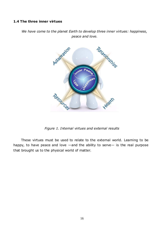## **1.4 The three inner virtues**

*We have come to the planet Earth to develop three inner virtues: happiness, peace and love.*



*Figure 1. Internal virtues and external results*

These virtues must be used to relate to the external world. Learning to be happy, to have peace and love —and the ability to serve— is the real purpose that brought us to the physical world of matter.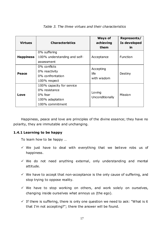| <b>Virtues</b>   | <b>Characteristics</b>                                                                      | <b>Ways of</b><br>achieving<br>them | Represents/<br>Is developed<br>in |
|------------------|---------------------------------------------------------------------------------------------|-------------------------------------|-----------------------------------|
| <b>Happiness</b> | 0% suffering<br>100% understanding and self-<br>assessment                                  | Acceptance                          | Function                          |
| Peace            | 0% conflicts<br>0% reactivity<br>0% confrontation<br>100% respect                           | Accepting<br>life<br>with wisdom    | Destiny                           |
| Love             | 100% capacity for service<br>0% resistance<br>0% fear<br>100% adaptation<br>100% commitment | Loving<br>Unconditionally           | Mission                           |

## *Table 3. The three virtues and their characteristics*

Happiness, peace and love are principles of the divine essence; they have no polarity, they are immutable and unchanging.

## **1.4.1 Learning to be happy**

To learn how to be happy …

- $\checkmark$  We just have to deal with everything that we believe robs us of happiness.
- $\checkmark$  We do not need anything external, only understanding and mental attitude.
- $\checkmark$  We have to accept that non-acceptance is the only cause of suffering, and stop trying to oppose reality.
- $\checkmark$  We have to stop working on others, and work solely on ourselves, changing inside ourselves what annoys us (the ego).
- $\checkmark$  If there is suffering, there is only one question we need to ask: "What is it that I'm not accepting?"; there the answer will be found.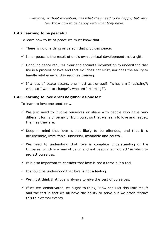*Everyone, without exception, has what they need to be happy; but very few know how to be happy with what they have.*

## **1.4.2 Learning to be peaceful**

To learn how to be at peace we must know that ...

- $\checkmark$  There is no one thing or person that provides peace.
- $\checkmark$  Inner peace is the result of one's own spiritual development, not a gift.
- $\checkmark$  Handling peace requires clear and accurate information to understand that life is a process of love and that evil does not exist, nor does the ability to handle vital energy; this requires training.
- $\checkmark$  If a loss of peace occurs, one must ask oneself: "What am I resisting?; what do I want to change?, who am I blaming?".

## **1.4.3 Learning to love one's neighbor as oneself**

To learn to love one another ...

- $\checkmark$  We just need to involve ourselves or share with people who have very different forms of behavior from ours, so that we learn to love and respect them as they are.
- $\checkmark$  Keep in mind that love is not likely to be offended, and that it is invulnerable, immutable, universal, invariable and neutral.
- $\checkmark$  We need to understand that love is complete understanding of the Universe, which is a way of being and not needing an "object" in which to project ourselves.
- $\checkmark$  It is also important to consider that love is not a force but a tool.
- $\checkmark$  It should be understood that love is not a feeling.
- $\checkmark$  We must think that love is always to give the best of ourselves.
- $\checkmark$  If we feel demotivated, we ought to think, "How can I let this limit me?"; and the fact is that we all have the ability to serve but we often restrict this to external events.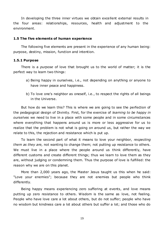In developing the three inner virtues we obtain excellent external results in the four areas: relationships, resources, health and adjustment to the environment.

#### **1.5 The five elements of human experience**

The following five elements are present in the experience of any human being: purpose, destiny, mission, function and intention.

#### **1.5.1 Purpose**

There is a *purpose* of love that brought us to the world of matter; it is the perfect way to learn two things:

- a) Being happy in ourselves, i.e., not depending on anything or anyone to have inner peace and happiness.
- b) To love one's neighbor as oneself, i.e., to respect the rights of all beings in the Universe.

But how do we learn this? This is where we are going to see the perfection of the pedagogical design of Divinity. First, for the exercise of *learning to be happy in ourselves* we need to live in a place with some people and in some circumstances where everything that happens around us is more or less aggressive for us to realize that the problem is not what is going on around us, but rather the way we relate to this, the rejection and resistance which is put up.

To learn the second part of what it means to love your neighbor, *respecting them as they are,* not wanting to change them; not putting up resistance to others. We must live in a place where the people around us think differently, have different customs and create different things; thus we learn to love them as they are, without judging or condemning them. Thus the purpose of love is fulfilled: the reason why we are on this planet.

More than 2,000 years ago, the Master Jesus taught us this when he said: "Love your enemies"; because they are not enemies but people who think differently.

Being happy means experiencing zero suffering at events, and love means putting up zero resistance to others. Wisdom is the same as love, not feeling. People who have love care a lot about others, but do not suffer; people who have no wisdom but kindness care a lot about others but suffer a lot; and those who do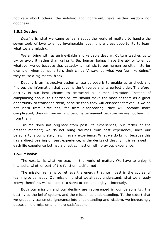not care about others: the indolent and indifferent, have neither wisdom nor goodness.

#### **1.5.2 Destiny**

*Destiny* is what we came to learn about the world of matter, to handle the seven tools of love to enjoy invulnerable love; it is a great opportunity to learn what we are missing.

We all bring with us an inevitable and valuable destiny. Culture teaches us to try to avoid it rather than using it. But human beings have the ability to enjoy whatever we do because that capacity is intrinsic to our human condition. So for example, when someone tells their child: "Always do what you feel like doing," they cause a big mental block.

Destiny is an instructive design whose purpose is to enable us to check and find out the information that governs the Universe and its perfect order. Therefore, destiny is our best chance to transcend all human limitation. Instead of complaining about life's hardships, we should make the most of them as a great opportunity to transcend them, because then they will disappear forever. If we do not learn from difficulties, far from disappearing, they will become more complicated; they will remain and become permanent because we are not learning from them.

Trauma does not originate from past life experiences, but rather at the present moment; we do not bring traumas from past experience, since our personality is completely new in every experience. What we do bring, because this has a direct bearing on past experience, is the design of destiny; it is renewed in each life experience but has a direct connection with previous experience.

#### **1.5.3 Mission**

The *mission* is what we teach in the world of matter. We have to enjoy it intensely, whether part of the function itself or not.

The mission remains to retrieve the energy that we invest in the course of learning to be happy. Our mission is what we already understand, what we already know; therefore, we can use it to serve others and enjoy it intensely.

Both our mission and our destiny are represented in our personality: the destiny as the belief system, and the mission as understanding. To the extent that we gradually transmute ignorance into understanding and wisdom, we increasingly possess more mission and more satisfaction.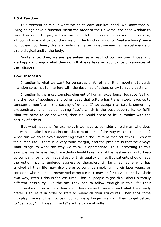#### **1.5.4 Function**

Our *function* or role is what we do to earn our livelihood. We know that all living beings have a function within the order of the Universe. We need wisdom to take this on with joy, enthusiasm and total capacity for action and service, although this is not part of the mission. The function is not to "make a living"  $-\text{we}$ do not earn our lives; this is a God-given gift—; what we earn is the sustenance of this biological entity, the body.

Sustenance, then, we are guaranteed as a result of our function. Those who are happy and enjoy what they do will always have an abundance of resources at their disposal.

#### **1.5.5 Intention**

Intention is what we want for ourselves or for others. It is important to guide intention so as not to interfere with the destinies of others or try to avoid destiny.

Intention is the most complex element of human experience, because feeling, and the idea of goodness and other ideas that culture has transmitted, leads us to constantly interfere in the destiny of others. If we accept that fate is something extraordinary, and not something "bad", which is the best opportunity to fulfill what we came to do the world, then we would cease to be in conflict with the destiny of others.

But what happens, for example, if we have at our side an old man who does not want to take his medicine or take care of himself the way we think he should? What can we do to avoid interfering? Within the limits of medical ethics —respect for human life— there is a very wide margin, and the problem is that we always want things to work the way we think is appropriate. Thus, according to this example, we believe that the elderly should take care of themselves so as to keep us company for longer, regardless of their quality of life. But patients should have the option not to undergo aggressive therapies; similarly, someone who has smoked all their life may also prefer to continue smoking in their later years; or someone who has been prescribed complete rest may prefer to walk and live their own way, even if this is for less time. That is, people might think about a totally different possibility, like the one they had to follow through in this life; their opportunities for action and learning. These came to an end and what they really prefer is to leave in order to start to renew all their structures. Then egos come into play: we want them to be in our company longer; we want them to get better; to "be happy" ... Those "I wants" are the cause of suffering.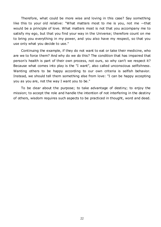Therefore, what could be more wise and loving in this case? Say something like this to your old relative: "What matters most to me is you, not me —that would be a principle of love. What matters most is not that you accompany me to satisfy my ego, but that you find your way in the Universe; therefore count on me to bring you everything in my power, and you also have my respect, so that you use only what you decide to use."

Continuing the example, if they do not want to eat or take their medicine, who are we to force them? And why do we do this? The condition that has impaired that person's health is part of their own process, not ours, so why can't we respect it? Because what comes into play is the "I want", also called unconscious *selfishness*. Wanting others to be happy according to our own criteria is selfish behavior. Instead, we should tell them something else from love: "I can be happy accepting you as you are, not the way I want you to be."

To be dear about the purpose; to take advantage of destiny; to enjoy the mission; to accept the role and handle the intention of not interfering in the destiny of others, wisdom requires such aspects to be practiced in thought, word and deed.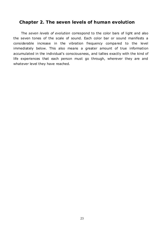# **Chapter 2. The seven levels of human evolution**

The *seven levels of evolution* correspond to the color bars of light and also the seven tones of the scale of sound. Each color bar or sound manifests a considerable increase in the vibration frequency compared to the level immediately below. This also means a greater amount of true information accumulated in the individual's consciousness, and tallies exactly with the kind of life experiences that each person must go through, wherever they are and whatever level they have reached.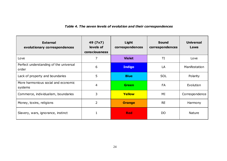## *Table 4. The seven levels of evolution and their correspondences*

| <b>External</b><br>evolutionary correspondences | 49 (7x7)<br>levels of<br><b>consciousness</b> | Light<br>correspondences | <b>Sound</b><br>correspondences | <b>Universal</b><br>Laws |
|-------------------------------------------------|-----------------------------------------------|--------------------------|---------------------------------|--------------------------|
| Love                                            | 7                                             | <b>Violet</b>            | TI                              | Love                     |
| Perfect understanding of the universal<br>order | 6                                             | <b>Indigo</b>            | LA                              | Manifestation            |
| Lack of property and boundaries                 | 5                                             | <b>Blue</b>              | <b>SOL</b>                      | Polarity                 |
| More harmonious social and economic<br>systems  | 4                                             | <b>Green</b>             | <b>FA</b>                       | Evolution                |
| Commerce, individualism, boundaries             | 3                                             | Yellow                   | MI                              | Correspondence           |
| Money, toxins, religions                        | $\overline{2}$                                | <b>Orange</b>            | <b>RE</b>                       | Harmony                  |
| Slavery, wars, ignorance, instinct              |                                               | <b>Red</b>               | D <sub>O</sub>                  | <b>Nature</b>            |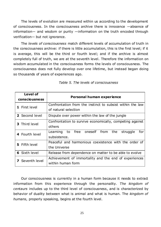The levels of evolution are measured within us according to the development of consciousness. In the consciousness archive there is innocence —absence of information— and wisdom or purity —information on the truth encoded through verification— but not ignorance.

The *levels of consciousness* match different levels of accumulation of truth in the consciousness archive: if there is little accumulation, this is the first level; if it is average, this will be the third or fourth level; and if the archive is almost completely full of truth, we are at the seventh level. Therefore the information on wisdom accumulated in the consciousness forms the levels of consciousness. The consciousness does not fully develop over one lifetime, but instead began doing so thousands of years of experiences ago.

| <b>Level of</b>                                                        | Personal human experience                                     |  |
|------------------------------------------------------------------------|---------------------------------------------------------------|--|
| <b>consciousness</b>                                                   |                                                               |  |
| 1 First level                                                          | Confrontation from the instinct to subsist within the law     |  |
|                                                                        | of natural selection                                          |  |
| 2 Second level                                                         | Dispute over power within the law of the jungle               |  |
| 3 Third level                                                          | Confrontation to survive economically, competing against      |  |
|                                                                        | others                                                        |  |
| 4 Fourth level                                                         | free oneself from<br>the<br>Learning<br>to<br>struggle<br>for |  |
|                                                                        | subsistence.                                                  |  |
| Peaceful and harmonious coexistence with the order of<br>5 Fifth level |                                                               |  |
|                                                                        | the Universe                                                  |  |
| <b>6</b> Sixth level                                                   | Release from dependence on matter to be able to evolve        |  |
| Seventh level                                                          | Achievement of immortality and the end of experiences         |  |
|                                                                        | within human form                                             |  |

*Table 5. The levels of consciousness*

Our consciousness is currently in a human form because it needs to extract information from this experience through the personality. *The kingdom of centaurs* includes up to the third level of consciousness, and is characterized by behavior of duality between what is animal and what is human. The *kingdom of humans,* properly speaking, begins at the fourth level.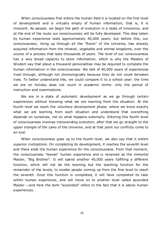When consciousness first enters the human field it is located on the first level of development and is virtually empty of human information; that is, it is innocent. As people, we begin the path of evolution in a state of innocence, and at the end of the route our consciousness will be fully developed. This step taken by human experience lasts approximately 40,000 years; but before this, our consciousness, rising up through all the "floors" of the Universe, has already acquired information from the mineral, vegetable and animal kingdoms, over the course of a process that lasts thousands of years. The level of our consciousness has a very broad capacity to store information, which is why the Masters of Wisdom say that about a thousand personalities may be required to complete the human information in the consciousness. We talk of 40,000 years of experiences lived through, although not chronologically because they do not count between lives. To better understand this, we could compare it to a school year: the time we are on holiday does not count in academic terms: only the period of instruction and examinations.

We are in a state of *automatic development* as we go through certain experiences without knowing what we are learning from the situation. At the fourth level we reach the *voluntary development* phase, where we know exactly what we are learning from each situation and understand that everything depends on ourselves, not on what happens externally. Entering this fourth level of consciousness involves transcending evolution; after that we go straight to the *upper triangle of the Laws of the Universe*, and at that point our conflicts come to an end.

When consciousness goes up to the fourth level, we also say that it enters *superior civilizations*. On completing its development, it reaches the seventh level and there ends the human experience for the consciousness. From that moment, the consciousness "leaves" human experience and is renamed as the immortal Master, "Big Brother". It will spend another 40,000 years fulfilling a different function, which will not be the learning but the teaching function for the remainder of the levels, to enable people coming up from the first level to reach the seventh. Once this function is completed, it will have completed its task within human experience, and will move on to another level called ascended Master —and here the term "ascended" refers to the fact that it is above human experiences.

26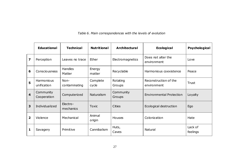*Table 6. Main correspondences with the levels of evolution*

|                         | <b>Educational</b>               | <b>Technical</b>      | <b>Nutritional</b> | <b>Architectural</b> | <b>Ecological</b>                    | Psychological       |
|-------------------------|----------------------------------|-----------------------|--------------------|----------------------|--------------------------------------|---------------------|
| 7                       | Perception                       | Leaves no trace       | Ether              | Electromagnetics     | Does not alter the<br>environment    | Love                |
| 6                       | Consciousness                    | Handles<br>Matter     | Energy<br>matter   | Recyclable           | Harmonious coexistence               | Peace               |
| 5                       | <b>Harmonious</b><br>unification | Non-<br>contaminating | Complete<br>cycle  | Rotating<br>Groups   | Reconstruction of the<br>environment | <b>Trust</b>        |
| $\overline{\mathbf{4}}$ | Community<br>Cooperation         | Computerized          | <b>Naturalism</b>  | Community<br>Groups  | <b>Environmental Protection</b>      | Loyalty             |
| 3                       | Individualized                   | Electro-<br>mechanics | <b>Toxic</b>       | <b>Cities</b>        | Ecological destruction               | Ego                 |
| $\overline{\mathbf{2}}$ | Violence                         | Mechanical            | Animal<br>origin   | Houses               | Colonization                         | Hate                |
| 1                       | Savagery                         | Primitive             | Cannibalism        | Huts,<br>Caves       | Natural                              | Lack of<br>feelings |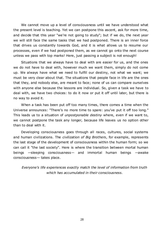We cannot move up a level of consciousness until we have understood what the present level is teaching. Yet we can postpone this ascent, ask for more time, and decide that this year "we're not going to study"; but if we do, the next year we will still face the same tasks that we had postponed. There is an inner force that drives us constantly towards God, and it is what allows us to resume our processes, even if we had postponed them, as we cannot go onto the next course unless we pass with top marks! Here, just passing a subject is not enough!

Situations that we always have to deal with are easier for us, and the ones we do not have to deal with, however much we want them, simply do not come up. We always have what we need to fulfill our destiny, not what we want; we must be very clear about that. The situations that people face in life are the ones that they, and nobody else, are meant to face; none of us can compare ourselves with anyone else because the lessons are individual. So, given a task we have to deal with, we have two choices: to do it now or put it off until later, but there is no way to avoid it.

When a task has been put off too many times, there comes a time when the Universe announces: "There's no more time to spare: you've put it off too long." This leads us to a situation of *unpostponable destiny* where, even if we want to, we cannot postpone the task any longer, because life leaves us no option other than to deal with it.

Developing consciousness goes through all races, cultures, social systems and human civilizations. The *civilization of Big Brothers*, for example, represents the last stage of the development of consciousness within the human form; so we can call it "the last society". Here is where the transition between mortal human beings —sleeping consciousness— and immortal human beings —awake consciousness— takes place.

*Everyone's life experiences exactly match the level of information from truth which has accumulated in their consciousness.*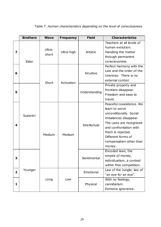|              | <b>Brothers</b> | <b>Wave</b>     | <b>Frequency</b> | <b>Field</b>        | <b>Characteristics</b>                                                                                                                                                                                                              |
|--------------|-----------------|-----------------|------------------|---------------------|-------------------------------------------------------------------------------------------------------------------------------------------------------------------------------------------------------------------------------------|
| 7            | Elder           | Ultra-<br>short | Ultra-high       | Artistic            | Teachers at all levels of<br>human evolution.<br>Handling the matter<br>through permanent<br>consciousness.                                                                                                                         |
| 6            |                 | Short           | Activation       | Intuitive           | Perfect harmony with the<br>Law and the order of the<br>Universe. There is no<br>external control.                                                                                                                                  |
| 5            |                 |                 |                  | Understanding       | Private property and<br>frontiers disappear.<br>Freedom and ease to<br>travel.                                                                                                                                                      |
| 4            | Superior        | Medium          | Medium           | <b>Intellectual</b> | Peaceful coexistence, We<br>learn to serve<br>unconditionally. Social<br>imbalances disappear.<br>The Laws are recognized<br>and confrontation with<br>them is rejected.<br>Different forms of<br>compensation other than<br>money. |
| 3            |                 |                 |                  | Sentimental         | Encoded laws, the<br>empire of money,<br>individualism, a contest<br>within free competition.                                                                                                                                       |
| $\mathbf{2}$ | Younger         |                 |                  | Emotional           | Law of the Jungle; law of<br>"an eye for an eye".                                                                                                                                                                                   |
| 1            | Long            |                 | Low              | Physical            | With no feelings,<br>cannibalism<br>Extreme ignorance.                                                                                                                                                                              |

# *Table 7. Human characteristics depending on the level of consciousness*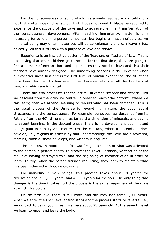For the consciousness or spirit which has already reached immortality it is not that matter does not exist, but that it does not need it. Matter is required to experience the discovery of the Laws and to achieve the inner transformation of the consciousness' development. After reaching immortality, matter is only necessary for others; the person is not lost, but begins a mission of service. An immortal being may enter matter but will do so voluntarily and can leave it just as easily. All this it will do with a purpose of love and service.

Experience is an instructive design of the Teachers or Masters of Law. This is like saying that when children go to school for the first time, they are going to find a number of explanations and experiences they need to have and that their teachers have already designed. The same thing happens in the Universe: when our consciousness first enters the first level of human experience, the situations have been designed by teachers of the Universe, who we call the Teachers of Law, and which are immortal.

There are two processes for the entire Universe: *descent* and *ascent*. First we descend from the absolute centre, in order to reach "the bottom", where we can learn; then we ascend, learning to rebuild what has been damaged. This is the usual process of the Universe for everything: nature, the body, social structures, and the consciousness. For example, consciousness descends from its Father, from the  $40<sup>th</sup>$  dimension, as far as the dimension of minerals, and begins its ascent learning. In the descent phase, there is no development but innocent beings gain in density and matter. On the contrary, when it ascends, it does develop, i.e., it gains in spirituality and understanding: the Laws are discovered, it trains, consciousness develops, and wisdom is acquired.

The process, therefore, is as follows: first, destruction of what was delivered to the person in perfect health, to discover the Laws. Secondly, verification of the result of having destroyed this, and the beginning of reconstruction in order to learn. Thirdly, when the person finishes rebuilding, they learn to maintain what has been achieved without destroying again.

For individual human beings, this process takes about 18 years; for civilization about 13,000 years, and 40,000 years for the soul. The only thing that changes is the time it takes, but the process is the same, regardless of the scale at which this occurs.

On the fifth level there is still body, and this may last some 1,200 years. When we enter the sixth level ageing stops and the process starts to reverse, i.e., we go back to being young, as if we were about 25 years old. At the seventh level we learn to enter and leave the body.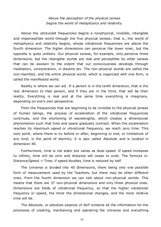*Above the perception of the physical senses begins the world of metaphysics and relativity.*

Above the ultraviolet frequencies begins a nonphysical, invisible, intangible and imperceptible world through the five physical senses; that is, the world of metaphysics and relativity begins, whose vibrational frequencies are above the fourth dimension. The higher dimensions can perceive the lower ones, but the opposite is quite unlikely. Our physical senses, for example, only perceive three dimensions, but the intangible worlds are real and perceptible by other senses that can be awoken to the extent that our consciousness develops through meditation, concentration, in dreams etc. The non-physical worlds are called *the non-manifest,* and the entire physical *world*, which is organized with one form, is called the manifested world.

Reality is where we can act. If a person is in the tenth dimension, that is the real dimension to that person, and if they are in the third, that will be their reality. Everything is real and at the same time everything is imaginary, depending on one's own perspective.

From the frequencies that are beginning to be invisible to the physical senses of human beings, the process of acceleration of the vibrational frequencies continues, and the shortening of wavelengths, which creates a dimensional phenomenon such that time and space gradually contract. When the acceleration reaches its maximum speed or vibrational frequency, we reach *zero time*. This zero point, where there is no before or after, beginning or end, or limitations of any kind, is the point of eternity; it is also called *Absolute* and is located in dimension 40.

Furthermore, time is not static but varies as does speed. If speed increases to infinity, time will be zero and distance will cease to exist. The formula is: Distance/Speed = Time; if speed doubles, time is reduced by half.

The Universe is divided into 40 dimensions, there being only one possible form of measurement used by the Teachers, but there may be other different ones. From the fourth dimension we can talk about non-physical worlds. This means that there are 37 non-physical dimensions and only three physical ones. Dimensions are fields of vibrational frequency, so that the higher vibrational frequency or speed, the more the dimensional changes, and the more relative time will be.

The *Absolute*, or *absolute essence of Self* contains all the information for the processes of creating, maintaining and operating the Universe and everything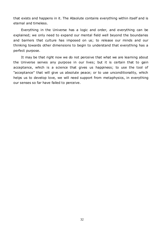that exists and happens in it. The Absolute contains everything within itself and is eternal and timeless.

Everything in the Universe has a logic and order, and everything can be explained; we only need to expand our mental field well beyond the boundaries and barriers that culture has imposed on us; to release our minds and our thinking towards other dimensions to begin to understand that everything has a perfect purpose.

It may be that right now we do not perceive that what we are learning about the Universe serves any purpose in our lives; but it is certain that to gain acceptance, which is a science that gives us happiness; to use the tool of "acceptance" that will give us absolute peace; or to use unconditionality, which helps us to develop love, we will need support from metaphysics, in everything our senses so far have failed to perceive.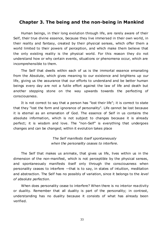## **Chapter 3. The being and the non-being in Mankind**

Human beings, in their long evolution through life, are rarely aware of their Self, their true divine essence, because they live immersed in their own world, in their reality and fantasy, created by their physical senses, which offer them a world limited to their powers of perception, and which make them believe that the only existing reality is the physical world. For this reason they do not understand how or why certain events, situations or phenomena occur, which are incomprehensible to them.

The Self that dwells within each of us is the immortal essence emanating from the Absolute, which gives meaning to our existence and brightens up our life, giving us the assurance that our efforts to understand and be better human beings every day are not a futile effort against the law of life and death but another stepping stone on the way upwards towards the perfecting of consciousness.

It is not correct to say that a person has "lost their life"; it is correct to state that they "lost the form and ignorance of personality". Life cannot be lost because it is eternal as an emanation of God. The essence of Self in us contains the absolute information, which is not subject to changes because it is already perfect; it is wisdom and love. The "non-Self" is everything that undergoes changes and can be changed; within it evolution takes place

> *The Self manifests itself spontaneously when the personality ceases to interfere.*

The Self that makes us animate, that gives us life, lives within us in the dimension of the non-manifest, which is not perceptible by the physical senses, and spontaneously manifests itself only through the consciousness when personality ceases to interfere —that is to say, in states of intuition, meditation and abstraction. The Self has no possibly of variation, since it belongs to the *level of absolute perfection*.

When does personality cease to interfere? When there is no interior reactivity or duality. Remember that all duality is part of the personality; in contrast, understanding has no duality because it consists of what has already been verified.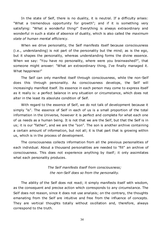In the state of Self, there is no duality, it is neutral. If a difficulty arises: "What a tremendous opportunity for growth"; and if it is something very satisfying: "What a wonderful thing!" Everything is always extraordinary and wonderful in such a state of absence of duality, which is also called the *maximum state of human mental efficiency*.

When we drive personality, the Self manifests itself because consciousness (i.e., understanding) is not part of the personality but the mind; as is the ego, but it shapes the personality, whereas understanding forms the divine essence. When we say: "You have no personality, where were you brainwashed?", that someone might answer: "What an extraordinary thing, I've finally managed it. What happiness!"

The Self can only manifest itself through consciousness, while the non-Self does this through personality. As consciousness develops, the Self will increasingly manifest itself. Its essence in each person may come to express itself as it really is: a perfect balance in any situation or circumstance, which does not alter in the least its absolute condition of Self.

With regard to the essence of Self, we do not talk of development because it simply "is". The essence of Self in each of us is a small proportion of the total information in the Universe, however it is perfect and complete for what each one of us needs as a human being. It is not that we are the Self, but that the Self is in us; it is our "father", and we are the "son". The son is another archive containing a certain amount of information, but not all; it is that part that is growing within us, which is in the process of development.

The consciousness collects information from all the previous personalities of each individual. About a thousand personalities are needed to "fill" an archive of consciousness. This does not experience anything by itself; it only assimilates what each personality produces.

> *The Self manifests itself from consciousness; the non-Self does so from the personality.*

The ability of the Self does not react; it simply manifests itself with wisdom, as the consequent and precise action which corresponds to any circumstance. The Self does not reason, since it does not use analysis; on the contrary, the thoughts emanating from the Self are intuitive and free from the influence of concepts. They are vertical thoughts totally without oscillation and, therefore, always correspond to the truth.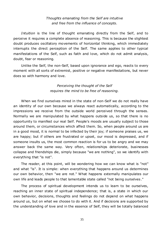## *Thoughts emanating from the Self are intuitive and free from the influence of concepts.*

*Intuition* is the line of thought emanating directly from the Self, and to perceive it requires a complete absence of reasoning. This is because the slightest doubt produces oscillatory movements of horizontal thinking, which immediately interrupts the direct perception of the Self. The same applies to other typical manifestations of the Self, such as faith and love, which do not admit analysis, doubt, fear or reasoning.

Unlike the Self, the non-Self, based upon ignorance and ego, reacts to every moment with all sorts of extremist, positive or negative manifestations, but never does so with harmony and love.

> *Perceiving the thought of the Self requires the mind to be free of reasoning.*

When we find ourselves mired in the state of non-Self we do not really have an identity of our own because we always react automatically, according to the impressions we receive from the outside world perceived through the senses. Normally we are manipulated by what happens outside us, so that there is no opportunity to manifest our real Self. People's moods are usually subject to those around them, or circumstances which affect them. So, when people around us are in a good mood, it is normal to be infected by their joy; if someone praises us, we are happy; but if others are frustrated or upset, our mood is depressed, and if someone insults us, the most common reaction is for us to be angry and we may answer back the same way. Very often, relationships deteriorate, businesses collapse and friendships die, simply because "we are nothing", so we identify with everything that "is not".

The reader, at this point, will be wondering how we can know what is "not" and what "is". It is simple: when everything that happens around us determines our own behavior, then "we are not." What happens externally manipulates our own life and leads people to that lamentable state called "not being ourselves ."

The process of spiritual development intends us to learn to be ourselves, reaching an inner state of spiritual independence; that is, a state in which our own behavior, decisions, thoughts and feelings do not depend on what happens around us, but on what we choose to do with it. And if decisions are supported by the understanding of love and in the essence of Self, they will be totally balanced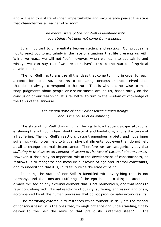and will lead to a state of inner, imperturbable and invulnerable peace; the state that characterizes a Teacher of Wisdom.

> *The mental state of the non-Self is identified with everything that does not come from wisdom.*

It is important to differentiate between *action* and *reaction*. Our proposal is not to react but to act calmly in the face of situations that life presents us with. While we react, we will not "be"; however, when we learn to act calmly and wisely, we can say that "we are ourselves"; this is the status of spiritual development.

The non-Self has to analyze all the ideas that come to mind in order to reach a conclusion; to do so, it resorts to comparing concepts or preconceived ideas that do not always correspond to the truth. That is why it is not wise to make snap judgments about people or circumstances around us, based solely on the conclusion of our reasoning. It is far better to turn to the wisdom of knowledge of the Laws of the Universe.

## *The mental state of non-Self enslaves human beings and is the cause of all suffering.*

The state of non-Self chains human beings to low frequency-type situations, enslaving them through fear, doubt, mistrust and limitations, and is the cause of all suffering. The non-Self's reactions cause tremendous anxiety and huge inner suffering, which often help to trigger physical ailments, but even then do not help at all to change external circumstances. Therefore we can categorically say that *suffering is useless as an element of action in the face of external circumstances* . However, it does play an important role in the development of consciousness, as it allows us to recognize and measure our levels of ego and internal constraints, and to understand that it is, in itself, outside the state of being.

In short, the state of non-Self is identified with everything that is not harmony, and the constant suffering of the ego is due to this; because it is always focused on any external element that is not harmonious, and that leads to rejection, along with internal reactions of duality, suffering, aggression and crisis, accompanied by all the human processes that do not produce satisfactory results.

The mortifying external circumstances which torment us daily are the "school of consciousness"; it is the ones that, through patience and understanding, finally deliver to the Self the reins of that previously "untamed steed" — the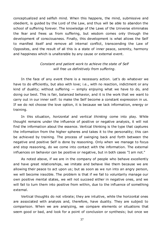conceptualized and selfish mind. When this happens, the mind, submissive and obedient, is guided by the Lord of the Law, and thus will be able to abandon the school of suffering forever. The knowledge of the Laws of the Universe eliminates the fear and frees us from suffering, but wisdom comes only through the development of consciousness. Finally, this development is what allows the Self to manifest itself and remove all internal conflict, transcending the Law of Opposites, and the result of all this is a state of inner peace, serenity, harmony and happiness which is unalterable by any cause or external event.

## *Constant and patient work to achieve the state of Self will free us definitively from suffering.*

In the face of any event there is a necessary action. Let's do whatever we have to do efficiently, but also with love; i.e., with no reaction, indictment or any kind of duality; without suffering  $-$  simply enjoying what we have to do, and doing our best. This is fair, balanced behavior, and it is the work that we want to carry out in our inner self: to make the Self become a constant expression in us. If we do not choose the love option, it is because we lack information, energy or training.

In this situation, *horizontal* and *vertical thinking* come into play. While thought remains under the influence of positive or negative analysis, it will not find the information about the essence. Vertical thinking is the type that captures the information from the higher spheres and takes it to the personality; this can be achieved by training. The process of swinging back and forth between the negative and positive Self is done by reasoning. Only when we manage to focus and stop reasoning, do we come into contact with the information. The external influences on behavior can be positive or negative, but in both cases "I am not."

As noted above, if we are in the company of people who behave excellently and have great relationships, we imitate and behave like them because we are allowing their peace to act upon us; but as soon as we run into an angry person, we will become irascible. The problem is that if we fail to voluntarily manage our own positive mental states, we will not succeed either in negative ones, and we will fail to turn them into positive from within, due to the influence of something external.

Vertical thoughts do not vibrate; they are intuitive, while the horizontal ones are associated with analysis and, therefore, have duality. They are subject to comparison. When we are analyzing, we compare elements or situations that seem good or bad, and look for a point of conclusion or synthesis; but once we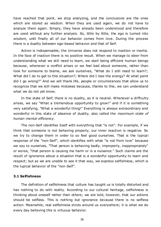have reached that point, we stop analyzing, and the conclusions are the ones which are stored as wisdom. When they are used again, we do not have to analyze them again. Simply, they have already been understood and therefore are used without any further analysis. So, little by little, the ego is turned into wisdom, until finally all of our behavior comes from love. During the process there is a duality between ego-based behavior and that of Self.

Action is indispensable; the Universe does not respond to inaction or inertia. In the face of inaction there is no positive result. When we manage to steer from understanding what we still need to learn, we start being efficient human beings because, whenever a conflict arises or we feel bad about someone, rather than look for someone to blame, we ask ourselves, "What do I still need to learn?; What did I do to get to this situation?: Where did I lose the energy? At what point did I go wrong?" And we will thank life, people or circumstances that allow us to recognize that we still make mistakes because, thanks to this, we can understand what we do not yet know.

In the state of Self, there is no duality, as it is neutral. Whenever a difficulty arises, we say "What a tremendous opportunity to grow!" and if it is something very satisfying, "What a wonderful thing!" Everything is always extraordinary and wonderful in this state of absence of duality, also called the *maximum state of human mental efficiency*.

The non-Self identifies itself with everything that "is not". For example, if we think that someone is not behaving properly, our inner reaction is negative. So we try to change them in order to so feel good ourselves. That is the typical response of the "non-Self", which identifies with what "is not from love" because we say to ourselves, "That person is behaving badly, improperly, inappropriately" or worse, "that person is causing me harm or is a nuisance." Such claims are the result of ignorance about a situation that is a wonderful opportunity to learn and respect; but as we are unable to see it that way, we express selfishness, which is the typical behavior of the "non-Self".

#### **3.1 Selfishness**

The definition of selfishness that culture has taught us is totally distorted and has nothing to do with reality. According to our cultural heritage, selfishness is thinking about oneself rather than others; we are told, however, that our actions should be selfless. This is nothing but ignorance because there is no selfless action. Meanwhile, real selfishness struts around us everywhere; it is what we do every day believing this is virtuous behavior.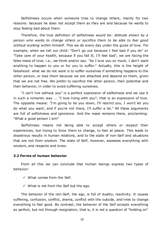Selfishness occurs when someone tries to change others, mainly for two reasons: because he does not accept them as they are and because he wants to stop feeling bad about them.

Therefore, the true definition of selfishness would be: *attitude shown by a person who wants to change others or sacrifice them to be able to feel good without working within himself*. This we do every day under the guise of love. For example, when we tell our child: "Don't go out because I feel bad if you do" or "Take care of your health, because if you fall ill, I'll feel bad", we are facing the false mask of love; i.e., we think and/or say: "As I love you so much, I don't want anything to happen to you or for you to suffer." Actually, this is the height of falsehood: what we do not want is to suffer ourselves if something happens to the other person, or lose them because we are attached and depend on them, given that we are not free. We prefer to sacrifice the other person, their potential and their behavior, in order to avoid suffering ourselves.

"I can't live without you" is a perfect expression of selfishness and we use it in such a romantic way ... "I love living with you"; that is an expression of love. The opposite means: "I'm going to tie you down, I'll restrict you, I won't let you do what you want; and if you're not there, I'll suffer a lot." All these arguments are full of selfishness and ignorance. And the mask remains there, proclaiming: "What a good person I am!"

Selfishness means not being able to accept others or respect their experiences, but trying to force them to change, to feel at peace. This leads to disastrous results in human relations, and to the state of non-Self and situations that are not from wisdom. The state of Self, however, assesses everything with wisdom, and respects and loves.

#### **3.2 Forms of human behavior**

From all this we can conclude that human beings express two types of behavior:

- $\checkmark$  What comes from the Self.
- $\checkmark$  What is not from the Self but the ego.

The behavior of the non-Self, the ego, is full of duality, reactivity. It causes suffering, confusion, conflict, drama, conflict with the outside, and tries to change everything to feel good. By contrast, the behavior of the Self accepts everything as perfect, but not through resignation; that is, it is not a question of "holding on"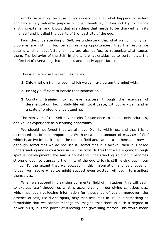but simply "accepting" because it has understood that what happens is perfect and has a very valuable purpose of love; therefore, it does not try to change anything external and knows that everything that needs to be changed is in its inner self and is called the duality of the reactivity of the ego.

From the understanding of Self, we understand that what we commonly call problems are nothing but perfect learning opportunities; that the results we obtain, whether satisfactory or not, are also perfect to recognize what causes them. The behavior of the Self, in short, is what enables us to contemplate the perfection of everything that happens and deeply appreciate it.

This is an exercise that requires having:

- **1. Information** from wisdom which we can re-program the mind with.
- **2. Energy** sufficient to handle that information.
- **3.** Constant **training** to achieve success through the exercise of desensitization, facing daily life with total peace, without any pain and in a state of profound understanding.

The behavior of the Self never looks for someone to blame, only solutions, and values experience as a learning opportunity.

We should not forget that we all have Divinity within us, and that this is distributed in different proportions. We have a small amount of *essence* of Self which is active in us. It lies in the mental field and can be used here and now  $$ although sometimes we do not use it; sometimes it is awake: then it is called understanding and is conscious in us. It is towards this that we are going through spiritual development; the aim is to extend understanding so that it becomes strong enough to transcend the limits of the ego which is still holding out in our minds. To the extent that we succeed in this, information and very superior forces, well above what we might suspect even existed, will begin to manifest themselves.

When we succeed in cleansing our mental field of limitations, this will begin to express itself through us what is accumulating in our divine consciousness, which has been collecting information for thousands of years; moreover, the essence of Self, the divine spark, may manifest itself in us. It is something so formidable that we cannot manage to imagine that there is such a degree of power in us; it is the power of directing and governing matter. This would mean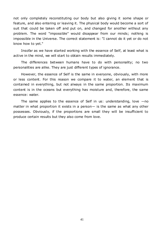not only completely reconstituting our body but also giving it some shape or feature, and also entering or leaving it. The physical body would become a sort of suit that could be taken off and put on, and changed for another without any problem. The word "impossible" would disappear from our minds; nothing is impossible in the Universe. The correct statement is: "I cannot do it yet or do not know how to yet."

Insofar as we have started working with the essence of Self, at least what is active in the mind, we will start to obtain results immediately.

The differences between humans have to do with personality; no two personalities are alike. They are just different types of ignorance.

However, the essence of Self is the same in everyone, obviously, with more or less content. For this reason we compare it to water, an element that is contained in everything, but not always in the same proportion. Its maximum content is in the oceans but everything has moisture and, therefore, the same essence: water.

The same applies to the essence of Self in us: understanding, love  $-\text{no}$ matter in what proportion it exists in a person - is the same as what any other possesses. Obviously, if the proportions are small they will be insufficient to produce certain results but they also come from love.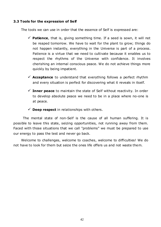## **3.3 Tools for the expression of Self**

The tools we can use in order that the essence of Self is expressed are:

- $\checkmark$  **Patience**, that is, giving something time. If a seed is sown, it will not be reaped tomorrow. We have to wait for the plant to grow; things do not happen instantly, everything in the Universe is part of a process. Patience is a virtue that we need to cultivate because it enables us to respect the rhythms of the Universe with confidence. It involves cherishing an internal conscious peace. We do not achieve things more quickly by being impatient.
- **Acceptance** to understand that everything follows a perfect rhythm and every situation is perfect for discovering what it reveals in itself.
- $\checkmark$  Inner peace to maintain the state of Self without reactivity. In order to develop absolute peace we need to be in a place where no-one is at peace.
- $\checkmark$  **Deep respect** in relationships with others.

The mental state of non-Self is the cause of all human suffering. It is possible to leave this state, seizing opportunities, not running away from them. Faced with those situations that we call "problems" we must be prepared to use our energy to pass the test and never go back.

Welcome to challenges, welcome to coaches, welcome to difficulties! We do not have to look for them but seize the ones life offers us and not waste them.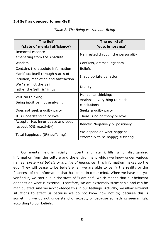## **3.4 Self as opposed to non-Self**

| <b>The Self</b>                      | <b>The non-Self</b>                |  |  |
|--------------------------------------|------------------------------------|--|--|
| (state of mental efficiency)         | (ego, ignorance)                   |  |  |
| Immortal essence                     | Manifested through the personality |  |  |
| emanating from the Absolute          |                                    |  |  |
| Wisdom                               | Conflicts, dramas, egotism         |  |  |
| Contains the absolute information    | <b>Beliefs</b>                     |  |  |
| Manifests itself through states of   | Inappropriate behavior             |  |  |
| intuition, mediation and abstraction |                                    |  |  |
| We "are" not the Self,               | Duality                            |  |  |
| rather the Self "is" in us           |                                    |  |  |
| Vertical thinking:                   | Horizontal thinking:               |  |  |
| Being intuitive, not analyzing       | Analyses everything to reach       |  |  |
|                                      | conclusions                        |  |  |
| Does not seek a guilty party         | Seeks a guilty party               |  |  |
| It is understanding of love          | There is no harmony or love        |  |  |
| Accepts: Has inner peace and deep    | Reacts: Negatively or positively   |  |  |
| respect (0% reactivity)              |                                    |  |  |
| Total happiness (0% suffering)       | We depend on what happens          |  |  |
|                                      | externally to be happy; suffering  |  |  |

*Table 8. The Being vs. the non-Being*

Our mental field is initially innocent, and later it fills full of disorganized information from the culture and the environment which we know under various names: *system of beliefs or archive of ignorance*; this information makes up the ego. They will cease to be beliefs when we are able to verify the reality or the falseness of the information that has come into our mind. When we have not yet verified it, we continue in the state of "I am not", which means that our behavior depends on what is external; therefore, we are extremely susceptible and can be manipulated, and we acknowledge this in our feelings. Actually, we allow external situations to affect us because we do not know how not to; because this is something we do not understand or accept, or because something seems right according to our beliefs.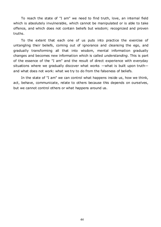To reach the state of "I am" we need to find truth, love, an internal field which is absolutely invulnerable, which cannot be manipulated or is able to take offence, and which does not contain beliefs but wisdom; recognized and proven truths.

To the extent that each one of us puts into practice the exercise of untangling their beliefs, coming out of ignorance and cleansing the ego, and gradually transforming all that into wisdom, mental information gradually changes and becomes new information which is called *understanding*. This is part of the essence of the "I am" and the result of direct experience with everyday situations where we gradually discover what works —what is built upon truth and what does not work: what we try to do from the falseness of beliefs.

In the state of "I am" we can control what happens inside us, how we think, act, behave, communicate, relate to others because this depends on ourselves, but we cannot control others or what happens around us.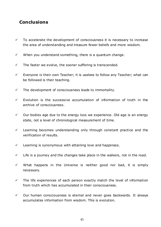# **Conclusions**

- $\checkmark$  To accelerate the development of consciousness it is necessary to increase the area of understanding and treasure fewer beliefs and more wisdom.
- $\checkmark$  When you understand something, there is a quantum change.
- $\checkmark$  The faster we evolve, the sooner suffering is transcended.
- $\checkmark$  Everyone is their own Teacher; it is useless to follow any Teacher; what can be followed is their teaching.
- $\checkmark$  The development of consciousness leads to immortality.
- $\checkmark$  Evolution is the successive accumulation of information of truth in the archive of consciousness.
- $\checkmark$  Our bodies age due to the energy loss we experience. Old age is an energy state, not a level of chronological measurement of time.
- $\checkmark$  Learning becomes understanding only through constant practice and the verification of results.
- $\checkmark$  Learning is synonymous with attaining love and happiness.
- $\checkmark$  Life is a journey and the changes take place in the walkers, not in the road.
- $\checkmark$  What happens in the Universe is neither good nor bad, it is simply necessary.
- $\checkmark$  The life experiences of each person exactly match the level of information from truth which has accumulated in their consciousness.
- $\checkmark$  Our human consciousness is eternal and never goes backwards. It always accumulates information from wisdom. This is evolution.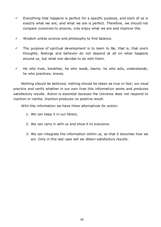- $\checkmark$  Everything that happens is perfect for a specific purpose, and each of us is exactly what we are; and what we are is perfect. Therefore, we should not compare ourselves to anyone, only enjoy what we are and improve this.
- $\checkmark$  Wisdom unites science and philosophy to find balance.
- $\checkmark$  The purpose of spiritual development is to learn to Be; that is, that one's thoughts, feelings and behavior do not depend at all on what happens around us, but what one decides to do with them.
- $\checkmark$  He who lives, breathes; he who reads, learns; he who acts, understands; he who practices, knows.

*Nothing should be believed, nothing should be taken as true or fact; we must practice* and verify whether in our own lives this information works and produces satisfactory results. Action is essential because the Universe does not respond to inaction or inertia. Inaction produces no positive result.

With this information we have *three alternatives for action*:

- 1. We can keep it in our library.
- 2. We can carry it with us and show it to everyone.
- 3. We can integrate the information within us, so that it becomes how we act. Only in this last case will we obtain satisfactory results.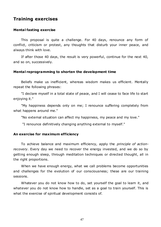# **Training exercises**

## **Mental fasting exercise**

This proposal is quite a challenge. For 40 days, renounce any form of conflict, criticism or protest, any thoughts that disturb your inner peace, and always think with love.

If after those 40 days, the result is very powerful, continue for the next 40, and so on, successively.

#### **Mental reprogramming to shorten the development time**

Beliefs make us inefficient, whereas wisdom makes us efficient. Mentally repeat the following phrases:

"I declare myself in a total state of peace, and I will cease to face life to start enjoying it."

"My happiness depends only on me; I renounce suffering completely from what happens around me."

"No external situation can affect my happiness, my peace and my love."

"I renounce definitively changing anything external to myself."

#### **An exercise for maximum efficiency**

To achieve balance and maximum efficiency, apply the *principle of actionrecovery*. Every day we need to recover the energy invested, and we do so by getting enough sleep, through meditation techniques or directed thought, all in the right proportions.

When we have enough energy, what we call problems become opportunities and challenges for the evolution of our consciousness; these are our training sessions.

Whatever you do not know how to do, set yourself the goal to learn it, and whatever you do not know how to handle, set as a goal to train yourself. This is what the exercise of spiritual development consists of.